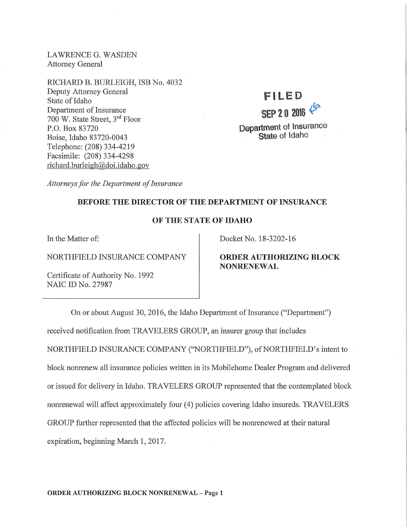LAWRENCE G. WASDEN Attorney General

RICHARD B. BURLEIGH, ISB No. 4032 Deputy Attorney General State of Idaho Department of Insurance 700 W. State Street, 3rd Floor P.O. Box 83720 Boise, Idaho 83720-0043 Telephone: (208) 334-4219 Facsimile: (208) 334-4298 richard. burleigh@doi.idaho.gov

**FILED SEP 2 0 2016** *\$>'*  Department of Insurance State of Idaho

*Attorneys for the Department of Insurance* 

# BEFORE THE DIRECTOR OF THE DEPARTMENT OF INSURANCE

## OF THE STATE OF IDAHO

In the Matter of:

NORTHFIELD INSURANCE COMPANY

Certificate of Authority No. 1992 NAIC ID No. 27987

Docket No. 18-3202-16

# ORDER AUTHORIZING BLOCK NONRENEWAL

On or about August 30, 2016, the Idaho Department of Insurance ("Department") received notification from TRAVELERS GROUP, an insurer group that includes NORTHFIELD INSURANCE COMPANY ("NORTHFIELD"), of NORTHFIELD's intent to block nonrenew all insurance policies written in its Mobilehome Dealer Program and delivered or issued for delivery in Idaho.TRAVELERS GROUP represented that the contemplated block nonrenewal will affect approximately four (4) policies covering Idaho insureds.TRAVELERS GROUP further represented that the affected policies will be nonrenewed at their natural expiration, beginning March 1, 2017.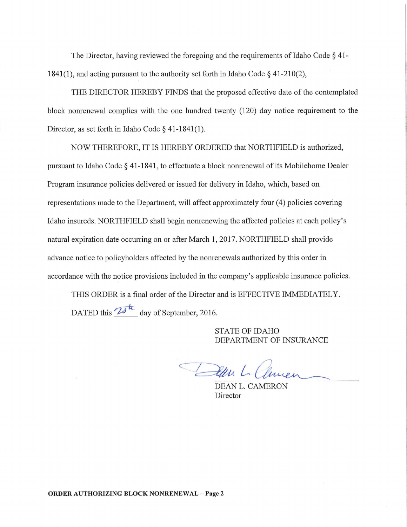The Director, having reviewed the foregoing and the requirements of Idaho Code § 41- 1841(1), and acting pursuant to the authority set forth in Idaho Code  $\S$  41-210(2),

THE DIRECTOR HEREBY FINDS that the proposed effective date of the contemplated block nonrenewal complies with the one hundred twenty (120) day notice requirement to the Director, as set forth in Idaho Code § 41-1841(1).

NOW THEREFORE, IT IS HEREBY ORDERED that NORTHFIELD is authorized, pursuant to Idaho Code § 41-1841, to effectuate a block nonrenewal of its Mobilehome Dealer Program insurance policies delivered or issued for delivery in Idaho, which, based on representations made to the Department, will affect approximately four (4) policies covering Idaho insureds. NORTHFIELD shall begin nonrenewing the affected policies at each policy's natural expiration date occurring on or after March 1, 2017. NORTHFIELD shall provide advance notice to policyholders affected by the nonrenewals authorized by this order in accordance with the notice provisions included in the company's applicable insurance policies.

THIS ORDER is a final order of the Director and is EFFECTIVE IMMEDIATELY. DATED this  $\overline{2a^{tt}}$  day of September, 2016.

> STATE OF IDAHO DEPARTMENT OF INSURANCE

Atten L Clincen

DEAN L. CAMERON Director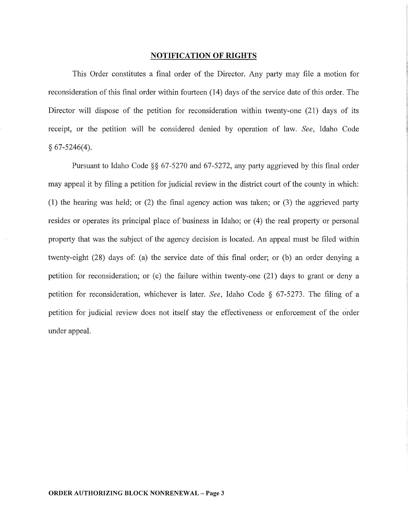## NOTIFICATION OF RIGHTS

This Order constitutes a final order of the Director. Any party may file a motion for reconsideration of this final order within fourteen (14) days of the service date of this order. The Director will dispose of the petition for reconsideration within twenty-one (21) days of its receipt, or the petition will be considered denied by operation of law. *See,* Idaho Code  $§ 67-5246(4).$ 

Pursuant to Idaho Code §§ 67-5270 and 67-5272, any party aggrieved by this final order may appeal it by filing a petition for judicial review in the district court of the county in which: (1) the hearing was held; or (2) the final agency action was taken; or (3) the aggrieved party resides or operates its principal place of business in Idaho; or (4) the real property or personal property that was the subject of the agency decision is located. An appeal must be filed within twenty-eight (28) days of: (a) the service date of this final order; or (b) an order denying a petition for reconsideration; or (c) the failure within twenty-one (21) days to grant or deny a petition for reconsideration, whichever is later. *See,* Idaho Code § 67-5273. The filing of a petition for judicial review does not itself stay the effectiveness or enforcement of the order under appeal.